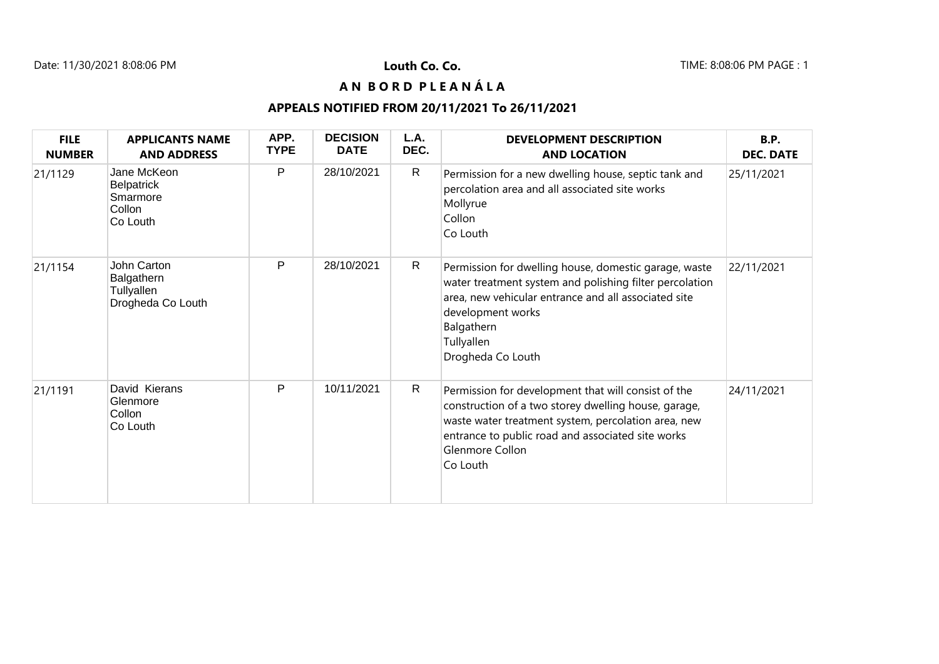## **A N B O R D P L E A N Á L A**

## **APPEALS NOTIFIED FROM 20/11/2021 To 26/11/2021**

| <b>FILE</b><br><b>NUMBER</b> | <b>APPLICANTS NAME</b><br><b>AND ADDRESS</b>                       | APP.<br><b>TYPE</b> | <b>DECISION</b><br><b>DATE</b> | L.A.<br>DEC. | <b>DEVELOPMENT DESCRIPTION</b><br><b>AND LOCATION</b>                                                                                                                                                                                                  | <b>B.P.</b><br><b>DEC. DATE</b> |
|------------------------------|--------------------------------------------------------------------|---------------------|--------------------------------|--------------|--------------------------------------------------------------------------------------------------------------------------------------------------------------------------------------------------------------------------------------------------------|---------------------------------|
| 21/1129                      | Jane McKeon<br><b>Belpatrick</b><br>Smarmore<br>Collon<br>Co Louth | P                   | 28/10/2021                     | $\mathsf{R}$ | Permission for a new dwelling house, septic tank and<br>percolation area and all associated site works<br>Mollyrue<br>Collon<br>Co Louth                                                                                                               | 25/11/2021                      |
| 21/1154                      | John Carton<br>Balgathern<br>Tullyallen<br>Drogheda Co Louth       | P                   | 28/10/2021                     | $\mathsf{R}$ | Permission for dwelling house, domestic garage, waste<br>water treatment system and polishing filter percolation<br>area, new vehicular entrance and all associated site<br>development works<br>Balgathern<br>Tullyallen<br>Drogheda Co Louth         | 22/11/2021                      |
| 21/1191                      | David Kierans<br>Glenmore<br>Collon<br>Co Louth                    | P                   | 10/11/2021                     | $\mathsf{R}$ | Permission for development that will consist of the<br>construction of a two storey dwelling house, garage,<br>waste water treatment system, percolation area, new<br>entrance to public road and associated site works<br>Glenmore Collon<br>Co Louth | 24/11/2021                      |